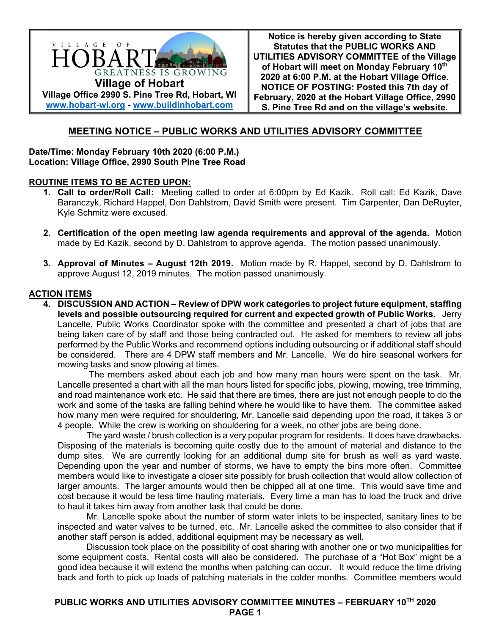

**Notice is hereby given according to State Statutes that the PUBLIC WORKS AND UTILITIES ADVISORY COMMITTEE of the Village**  of Hobart will meet on Monday February 10<sup>th</sup> **2020 at 6:00 P.M. at the Hobart Village Office. NOTICE OF POSTING: Posted this 7th day of February, 2020 at the Hobart Village Office, 2990 S. Pine Tree Rd and on the village's website.**

# **MEETING NOTICE – PUBLIC WORKS AND UTILITIES ADVISORY COMMITTEE**

**Date/Time: Monday February 10th 2020 (6:00 P.M.) Location: Village Office, 2990 South Pine Tree Road** 

#### **ROUTINE ITEMS TO BE ACTED UPON:**

- **1. Call to order/Roll Call:** Meeting called to order at 6:00pm by Ed Kazik. Roll call: Ed Kazik, Dave Baranczyk, Richard Happel, Don Dahlstrom, David Smith were present. Tim Carpenter, Dan DeRuyter, Kyle Schmitz were excused.
- **2. Certification of the open meeting law agenda requirements and approval of the agenda.** Motion made by Ed Kazik, second by D. Dahlstrom to approve agenda. The motion passed unanimously.
- **3. Approval of Minutes August 12th 2019.** Motion made by R. Happel, second by D. Dahlstrom to approve August 12, 2019 minutes. The motion passed unanimously.

## **ACTION ITEMS**

**4. DISCUSSION AND ACTION – Review of DPW work categories to project future equipment, staffing levels and possible outsourcing required for current and expected growth of Public Works.** Jerry Lancelle, Public Works Coordinator spoke with the committee and presented a chart of jobs that are being taken care of by staff and those being contracted out. He asked for members to review all jobs performed by the Public Works and recommend options including outsourcing or if additional staff should be considered. There are 4 DPW staff members and Mr. Lancelle. We do hire seasonal workers for mowing tasks and snow plowing at times.

 The members asked about each job and how many man hours were spent on the task. Mr. Lancelle presented a chart with all the man hours listed for specific jobs, plowing, mowing, tree trimming, and road maintenance work etc. He said that there are times, there are just not enough people to do the work and some of the tasks are falling behind where he would like to have them. The committee asked how many men were required for shouldering, Mr. Lancelle said depending upon the road, it takes 3 or 4 people. While the crew is working on shouldering for a week, no other jobs are being done.

The yard waste / brush collection is a very popular program for residents. It does have drawbacks. Disposing of the materials is becoming quite costly due to the amount of material and distance to the dump sites. We are currently looking for an additional dump site for brush as well as yard waste. Depending upon the year and number of storms, we have to empty the bins more often. Committee members would like to investigate a closer site possibly for brush collection that would allow collection of larger amounts. The larger amounts would then be chipped all at one time. This would save time and cost because it would be less time hauling materials. Every time a man has to load the truck and drive to haul it takes him away from another task that could be done.

Mr. Lancelle spoke about the number of storm water inlets to be inspected, sanitary lines to be inspected and water valves to be turned, etc. Mr. Lancelle asked the committee to also consider that if another staff person is added, additional equipment may be necessary as well.

Discussion took place on the possibility of cost sharing with another one or two municipalities for some equipment costs. Rental costs will also be considered. The purchase of a "Hot Box" might be a good idea because it will extend the months when patching can occur. It would reduce the time driving back and forth to pick up loads of patching materials in the colder months. Committee members would